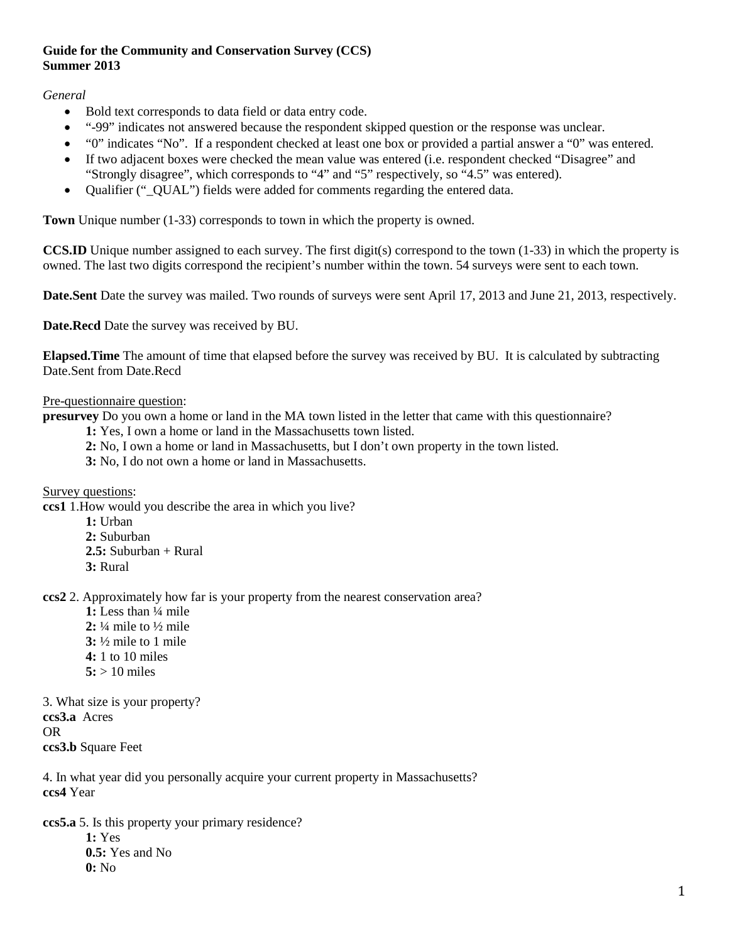## **Guide for the Community and Conservation Survey (CCS) Summer 2013**

*General*

- Bold text corresponds to data field or data entry code.
- "-99" indicates not answered because the respondent skipped question or the response was unclear.
- "0" indicates "No". If a respondent checked at least one box or provided a partial answer a "0" was entered.
- If two adjacent boxes were checked the mean value was entered (i.e. respondent checked "Disagree" and "Strongly disagree", which corresponds to "4" and "5" respectively, so "4.5" was entered).
- Qualifier (" QUAL") fields were added for comments regarding the entered data.

**Town** Unique number (1-33) corresponds to town in which the property is owned.

**CCS.ID** Unique number assigned to each survey. The first digit(s) correspond to the town (1-33) in which the property is owned. The last two digits correspond the recipient's number within the town. 54 surveys were sent to each town.

**Date.Sent** Date the survey was mailed. Two rounds of surveys were sent April 17, 2013 and June 21, 2013, respectively.

**Date.Recd** Date the survey was received by BU.

**Elapsed.Time** The amount of time that elapsed before the survey was received by BU. It is calculated by subtracting Date.Sent from Date.Recd

#### Pre-questionnaire question:

**presurvey** Do you own a home or land in the MA town listed in the letter that came with this questionnaire?

**1:** Yes, I own a home or land in the Massachusetts town listed.

- **2:** No, I own a home or land in Massachusetts, but I don't own property in the town listed.
- **3:** No, I do not own a home or land in Massachusetts.

Survey questions:

**ccs1** 1.How would you describe the area in which you live?

**1:** Urban **2:** Suburban **2.5:** Suburban + Rural **3:** Rural

**ccs2** 2. Approximately how far is your property from the nearest conservation area?

**1:** Less than ¼ mile **2:** ¼ mile to ½ mile **3:** ½ mile to 1 mile **4:** 1 to 10 miles  $5:$  > 10 miles

3. What size is your property? **ccs3.a** Acres OR **ccs3.b** Square Feet

4. In what year did you personally acquire your current property in Massachusetts? **ccs4** Year

**ccs5.a** 5. Is this property your primary residence? **1:** Yes **0.5:** Yes and No **0:** No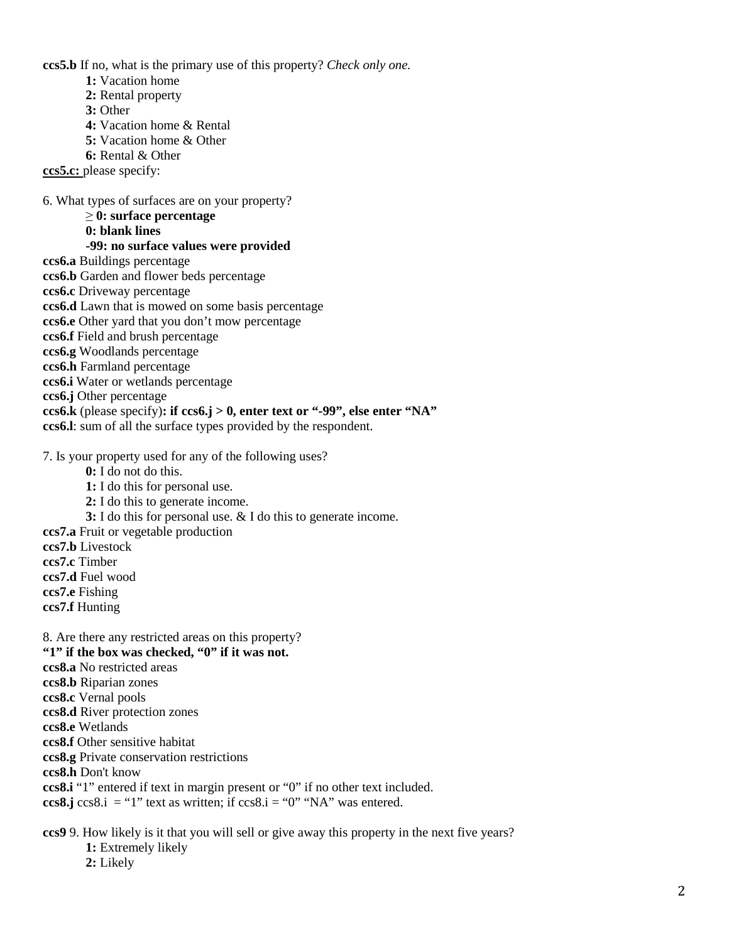**ccs5.b** If no, what is the primary use of this property? *Check only one.*

- **1:** Vacation home
- **2:** Rental property
- **3:** Other
- **4:** Vacation home & Rental
- **5:** Vacation home & Other
- **6:** Rental & Other

**ccs5.c:** please specify:

6. What types of surfaces are on your property?

≥ **0: surface percentage**

**0: blank lines**

### **-99: no surface values were provided**

- **ccs6.a** Buildings percentage
- **ccs6.b** Garden and flower beds percentage
- **ccs6.c** Driveway percentage
- **ccs6.d** Lawn that is mowed on some basis percentage
- **ccs6.e** Other yard that you don't mow percentage
- **ccs6.f** Field and brush percentage
- **ccs6.g** Woodlands percentage
- **ccs6.h** Farmland percentage
- **ccs6.i** Water or wetlands percentage
- **ccs6.j** Other percentage
- **ccs6.k** (please specify)**: if ccs6.j > 0, enter text or "-99", else enter "NA"**

**ccs6.l**: sum of all the surface types provided by the respondent.

7. Is your property used for any of the following uses?

- **0:** I do not do this.
- **1:** I do this for personal use.
- **2:** I do this to generate income.
- **3:** I do this for personal use. & I do this to generate income.
- **ccs7.a** Fruit or vegetable production
- **ccs7.b** Livestock
- **ccs7.c** Timber
- **ccs7.d** Fuel wood
- **ccs7.e** Fishing
- **ccs7.f** Hunting

8. Are there any restricted areas on this property? **"1" if the box was checked, "0" if it was not. ccs8.a** No restricted areas **ccs8.b** Riparian zones **ccs8.c** Vernal pools **ccs8.d** River protection zones

**ccs8.e** Wetlands

**ccs8.f** Other sensitive habitat

**ccs8.g** Private conservation restrictions

**ccs8.h** Don't know

**ccs8.i** "1" entered if text in margin present or "0" if no other text included.

**ccs8.j** ccs8.i = "1" text as written; if  $ccs8.i = "0"$  "NA" was entered.

**ccs9** 9. How likely is it that you will sell or give away this property in the next five years?

**1:** Extremely likely

**2:** Likely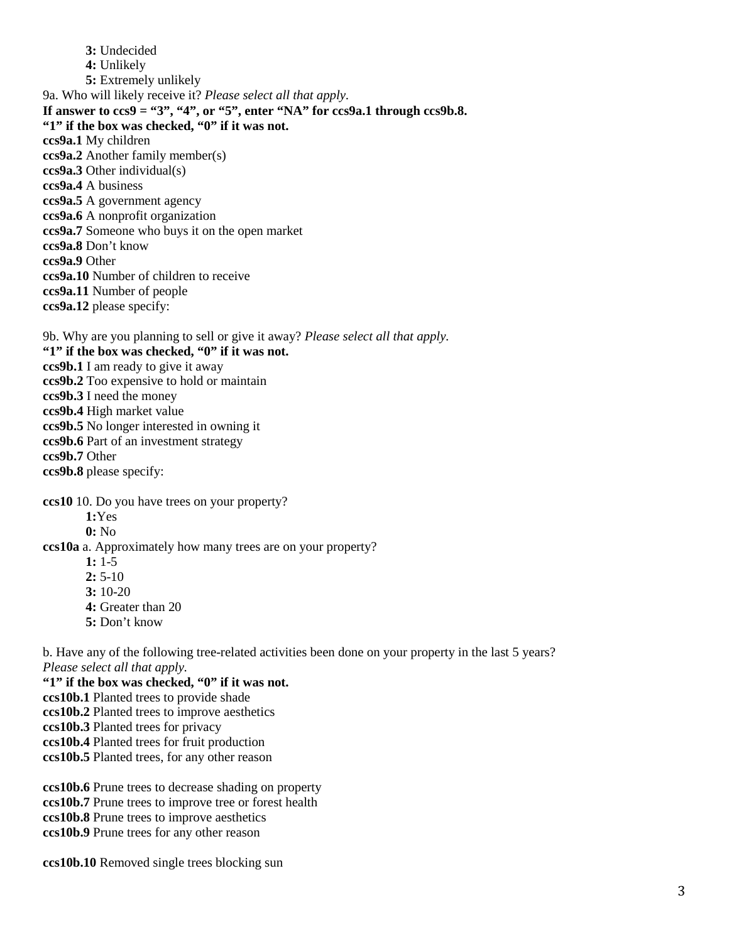**3:** Undecided **4:** Unlikely **5:** Extremely unlikely 9a. Who will likely receive it? *Please select all that apply.* If answer to  $\cos 9 = 3$ ", "4", or "5", enter "NA" for  $\cos 9a.1$  through  $\cos 9b.8$ . **"1" if the box was checked, "0" if it was not. ccs9a.1** My children **ccs9a.2** Another family member(s) **ccs9a.3** Other individual(s) **ccs9a.4** A business **ccs9a.5** A government agency **ccs9a.6** A nonprofit organization **ccs9a.7** Someone who buys it on the open market **ccs9a.8** Don't know **ccs9a.9** Other **ccs9a.10** Number of children to receive **ccs9a.11** Number of people **ccs9a.12** please specify:

9b. Why are you planning to sell or give it away? *Please select all that apply.* **"1" if the box was checked, "0" if it was not. ccs9b.1** I am ready to give it away **ccs9b.2** Too expensive to hold or maintain **ccs9b.3** I need the money **ccs9b.4** High market value **ccs9b.5** No longer interested in owning it **ccs9b.6** Part of an investment strategy **ccs9b.7** Other **ccs9b.8** please specify:

**ccs10** 10. Do you have trees on your property?

**1:**Yes

**0:** No

**ccs10a** a. Approximately how many trees are on your property?

- **1:** 1-5
- **2:** 5-10
- **3:** 10-20
- **4:** Greater than 20
- **5:** Don't know

b. Have any of the following tree-related activities been done on your property in the last 5 years? *Please select all that apply.*

**"1" if the box was checked, "0" if it was not. ccs10b.1** Planted trees to provide shade **ccs10b.2** Planted trees to improve aesthetics **ccs10b.3** Planted trees for privacy **ccs10b.4** Planted trees for fruit production **ccs10b.5** Planted trees, for any other reason

**ccs10b.6** Prune trees to decrease shading on property **ccs10b.7** Prune trees to improve tree or forest health **ccs10b.8** Prune trees to improve aesthetics **ccs10b.9** Prune trees for any other reason

**ccs10b.10** Removed single trees blocking sun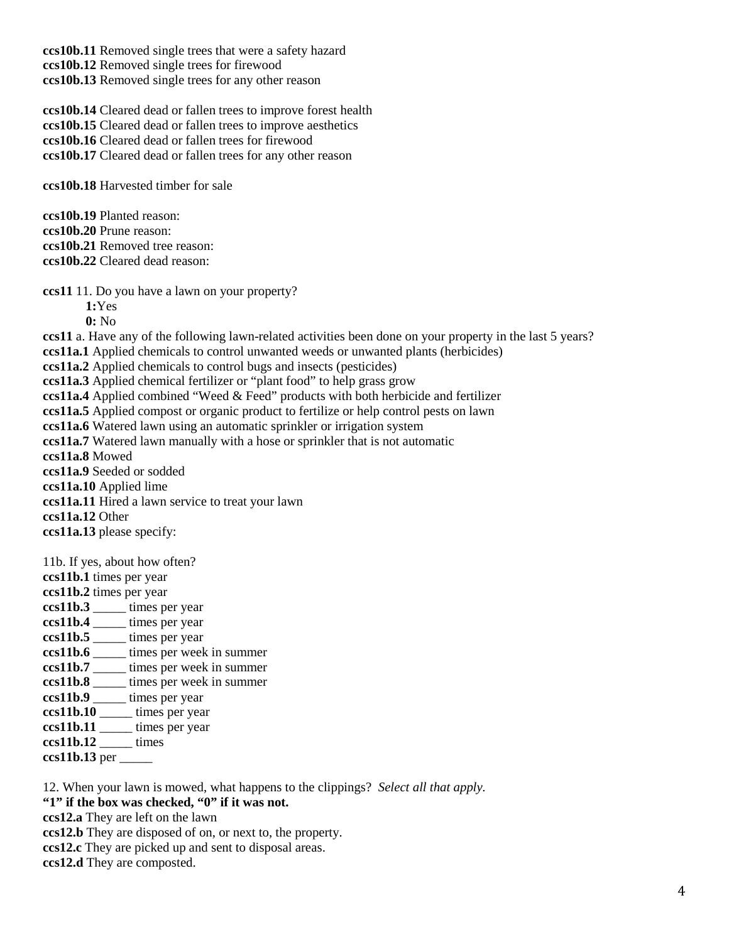**ccs10b.11** Removed single trees that were a safety hazard **ccs10b.12** Removed single trees for firewood **ccs10b.13** Removed single trees for any other reason

**ccs10b.14** Cleared dead or fallen trees to improve forest health **ccs10b.15** Cleared dead or fallen trees to improve aesthetics **ccs10b.16** Cleared dead or fallen trees for firewood **ccs10b.17** Cleared dead or fallen trees for any other reason

**ccs10b.18** Harvested timber for sale

**ccs10b.19** Planted reason: **ccs10b.20** Prune reason: **ccs10b.21** Removed tree reason: **ccs10b.22** Cleared dead reason:

**ccs11** 11. Do you have a lawn on your property?

**1:**Yes

**0:** No

**ccs11** a. Have any of the following lawn-related activities been done on your property in the last 5 years? **ccs11a.1** Applied chemicals to control unwanted weeds or unwanted plants (herbicides) **ccs11a.2** Applied chemicals to control bugs and insects (pesticides) **ccs11a.3** Applied chemical fertilizer or "plant food" to help grass grow **ccs11a.4** Applied combined "Weed & Feed" products with both herbicide and fertilizer **ccs11a.5** Applied compost or organic product to fertilize or help control pests on lawn **ccs11a.6** Watered lawn using an automatic sprinkler or irrigation system **ccs11a.7** Watered lawn manually with a hose or sprinkler that is not automatic **ccs11a.8** Mowed **ccs11a.9** Seeded or sodded **ccs11a.10** Applied lime **ccs11a.11** Hired a lawn service to treat your lawn **ccs11a.12** Other **ccs11a.13** please specify: 11b. If yes, about how often? **ccs11b.1** times per year **ccs11b.2** times per year **ccs11b.3** \_\_\_\_\_ times per year **ccs11b.4** \_\_\_\_\_ times per year **ccs11b.5** \_\_\_\_\_ times per year **ccs11b.6** \_\_\_\_\_ times per week in summer **ccs11b.7** \_\_\_\_\_ times per week in summer **ccs11b.8** \_\_\_\_\_ times per week in summer

- **ccs11b.9** \_\_\_\_\_ times per year
- **ccs11b.10** \_\_\_\_\_ times per year
- **ccs11b.11** \_\_\_\_\_ times per year
- **ccs11b.12** \_\_\_\_\_ times
- **ccs11b.13** per \_\_\_\_\_

12. When your lawn is mowed, what happens to the clippings? *Select all that apply.*

**"1" if the box was checked, "0" if it was not.**

**ccs12.a** They are left on the lawn

**ccs12.b** They are disposed of on, or next to, the property.

**ccs12.c** They are picked up and sent to disposal areas.

**ccs12.d** They are composted.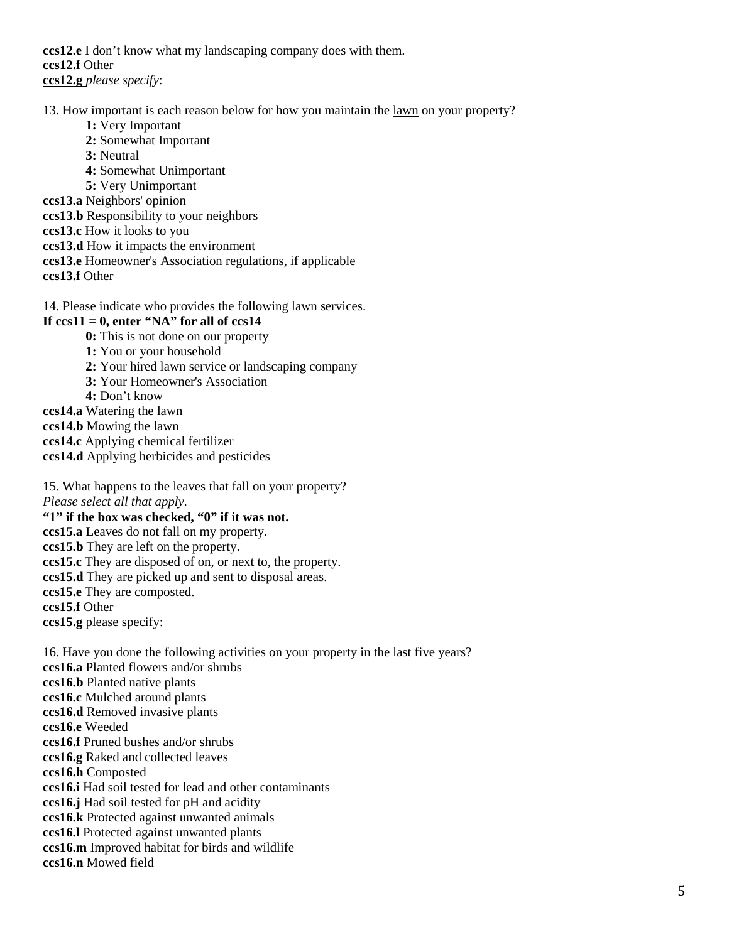**ccs12.e** I don't know what my landscaping company does with them. **ccs12.f** Other **ccs12.g** *please specify*:

13. How important is each reason below for how you maintain the lawn on your property?

- **1:** Very Important
- **2:** Somewhat Important
- **3:** Neutral
- **4:** Somewhat Unimportant
- **5:** Very Unimportant
- **ccs13.a** Neighbors' opinion
- **ccs13.b** Responsibility to your neighbors
- **ccs13.c** How it looks to you
- **ccs13.d** How it impacts the environment
- **ccs13.e** Homeowner's Association regulations, if applicable
- **ccs13.f** Other
- 14. Please indicate who provides the following lawn services.

# If  $ccs11 = 0$ , enter "NA" for all of  $ccs14$

- **0:** This is not done on our property
- **1:** You or your household
- **2:** Your hired lawn service or landscaping company
- **3:** Your Homeowner's Association
- **4:** Don't know
- **ccs14.a** Watering the lawn
- **ccs14.b** Mowing the lawn
- **ccs14.c** Applying chemical fertilizer
- **ccs14.d** Applying herbicides and pesticides
- 15. What happens to the leaves that fall on your property? *Please select all that apply.* **"1" if the box was checked, "0" if it was not.**
- **ccs15.a** Leaves do not fall on my property.
- **ccs15.b** They are left on the property.
- **ccs15.c** They are disposed of on, or next to, the property.
- **ccs15.d** They are picked up and sent to disposal areas.
- **ccs15.e** They are composted.
- **ccs15.f** Other
- **ccs15.g** please specify:

16. Have you done the following activities on your property in the last five years? **ccs16.a** Planted flowers and/or shrubs **ccs16.b** Planted native plants **ccs16.c** Mulched around plants **ccs16.d** Removed invasive plants **ccs16.e** Weeded **ccs16.f** Pruned bushes and/or shrubs **ccs16.g** Raked and collected leaves **ccs16.h** Composted **ccs16.i** Had soil tested for lead and other contaminants **ccs16.j** Had soil tested for pH and acidity **ccs16.k** Protected against unwanted animals **ccs16.l** Protected against unwanted plants **ccs16.m** Improved habitat for birds and wildlife **ccs16.n** Mowed field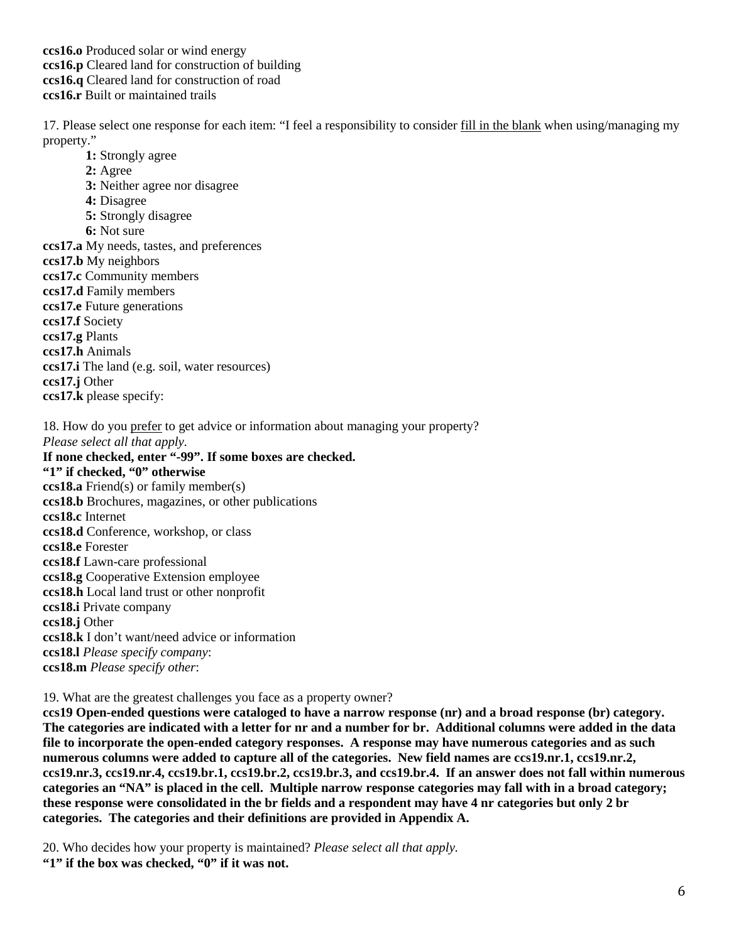## **ccs16.o** Produced solar or wind energy **ccs16.p** Cleared land for construction of building **ccs16.q** Cleared land for construction of road **ccs16.r** Built or maintained trails

17. Please select one response for each item: "I feel a responsibility to consider fill in the blank when using/managing my property."

- **1:** Strongly agree
- **2:** Agree
- **3:** Neither agree nor disagree
- **4:** Disagree
- **5:** Strongly disagree
- **6:** Not sure
- **ccs17.a** My needs, tastes, and preferences
- **ccs17.b** My neighbors
- **ccs17.c** Community members
- **ccs17.d** Family members
- **ccs17.e** Future generations
- **ccs17.f** Society
- **ccs17.g** Plants
- **ccs17.h** Animals
- **ccs17.i** The land (e.g. soil, water resources)
- **ccs17.j** Other
- **ccs17.k** please specify:

18. How do you prefer to get advice or information about managing your property?

*Please select all that apply.*

# **If none checked, enter "-99". If some boxes are checked.**

**"1" if checked, "0" otherwise ccs18.a** Friend(s) or family member(s) **ccs18.b** Brochures, magazines, or other publications **ccs18.c** Internet **ccs18.d** Conference, workshop, or class **ccs18.e** Forester **ccs18.f** Lawn-care professional **ccs18.g** Cooperative Extension employee **ccs18.h** Local land trust or other nonprofit **ccs18.i** Private company **ccs18.j** Other **ccs18.k** I don't want/need advice or information **ccs18.l** *Please specify company*: **ccs18.m** *Please specify other*:

19. What are the greatest challenges you face as a property owner?

**ccs19 Open-ended questions were cataloged to have a narrow response (nr) and a broad response (br) category. The categories are indicated with a letter for nr and a number for br. Additional columns were added in the data file to incorporate the open-ended category responses. A response may have numerous categories and as such numerous columns were added to capture all of the categories. New field names are ccs19.nr.1, ccs19.nr.2, ccs19.nr.3, ccs19.nr.4, ccs19.br.1, ccs19.br.2, ccs19.br.3, and ccs19.br.4. If an answer does not fall within numerous categories an "NA" is placed in the cell. Multiple narrow response categories may fall with in a broad category; these response were consolidated in the br fields and a respondent may have 4 nr categories but only 2 br categories. The categories and their definitions are provided in Appendix A.**

20. Who decides how your property is maintained? *Please select all that apply.* **"1" if the box was checked, "0" if it was not.**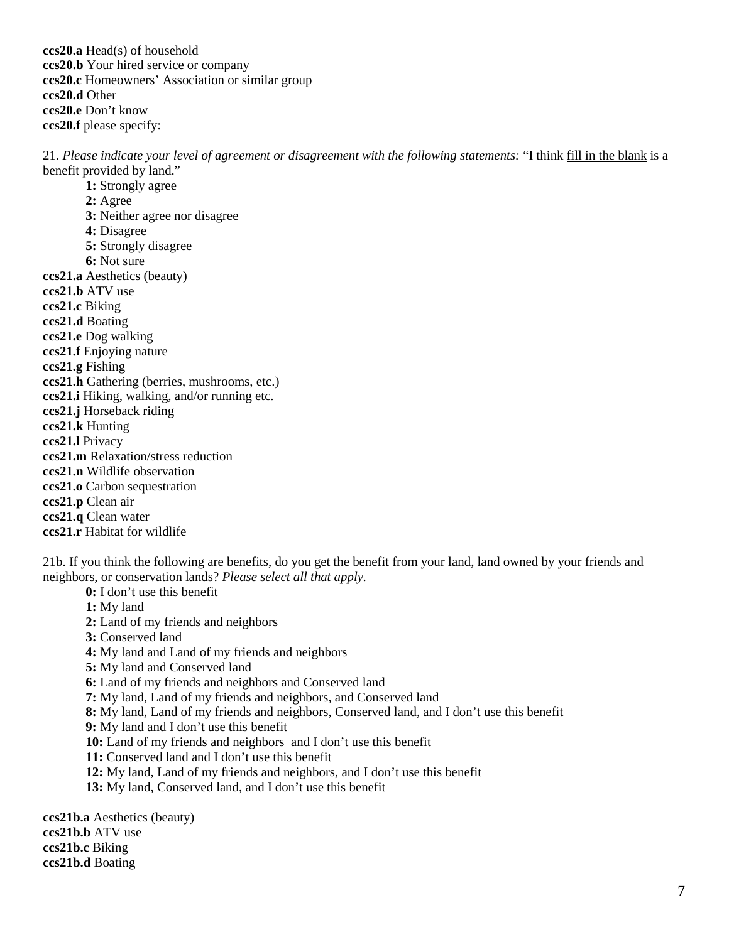**ccs20.a** Head(s) of household **ccs20.b** Your hired service or company **ccs20.c** Homeowners' Association or similar group **ccs20.d** Other **ccs20.e** Don't know **ccs20.f** please specify:

21. *Please indicate your level of agreement or disagreement with the following statements:* "I think fill in the blank is a benefit provided by land."

**1:** Strongly agree **2:** Agree **3:** Neither agree nor disagree **4:** Disagree **5:** Strongly disagree **6:** Not sure **ccs21.a** Aesthetics (beauty) **ccs21.b** ATV use **ccs21.c** Biking **ccs21.d** Boating **ccs21.e** Dog walking **ccs21.f** Enjoying nature **ccs21.g** Fishing **ccs21.h** Gathering (berries, mushrooms, etc.) **ccs21.i** Hiking, walking, and/or running etc. **ccs21.j** Horseback riding **ccs21.k** Hunting **ccs21.l** Privacy **ccs21.m** Relaxation/stress reduction **ccs21.n** Wildlife observation **ccs21.o** Carbon sequestration **ccs21.p** Clean air

**ccs21.q** Clean water

**ccs21.r** Habitat for wildlife

21b. If you think the following are benefits, do you get the benefit from your land, land owned by your friends and neighbors, or conservation lands? *Please select all that apply.*

- **0:** I don't use this benefit
- **1:** My land
- **2:** Land of my friends and neighbors
- **3:** Conserved land
- **4:** My land and Land of my friends and neighbors
- **5:** My land and Conserved land
- **6:** Land of my friends and neighbors and Conserved land
- **7:** My land, Land of my friends and neighbors, and Conserved land
- **8:** My land, Land of my friends and neighbors, Conserved land, and I don't use this benefit
- **9:** My land and I don't use this benefit
- **10:** Land of my friends and neighbors and I don't use this benefit
- **11:** Conserved land and I don't use this benefit
- **12:** My land, Land of my friends and neighbors, and I don't use this benefit
- **13:** My land, Conserved land, and I don't use this benefit

**ccs21b.a** Aesthetics (beauty) **ccs21b.b** ATV use **ccs21b.c** Biking **ccs21b.d** Boating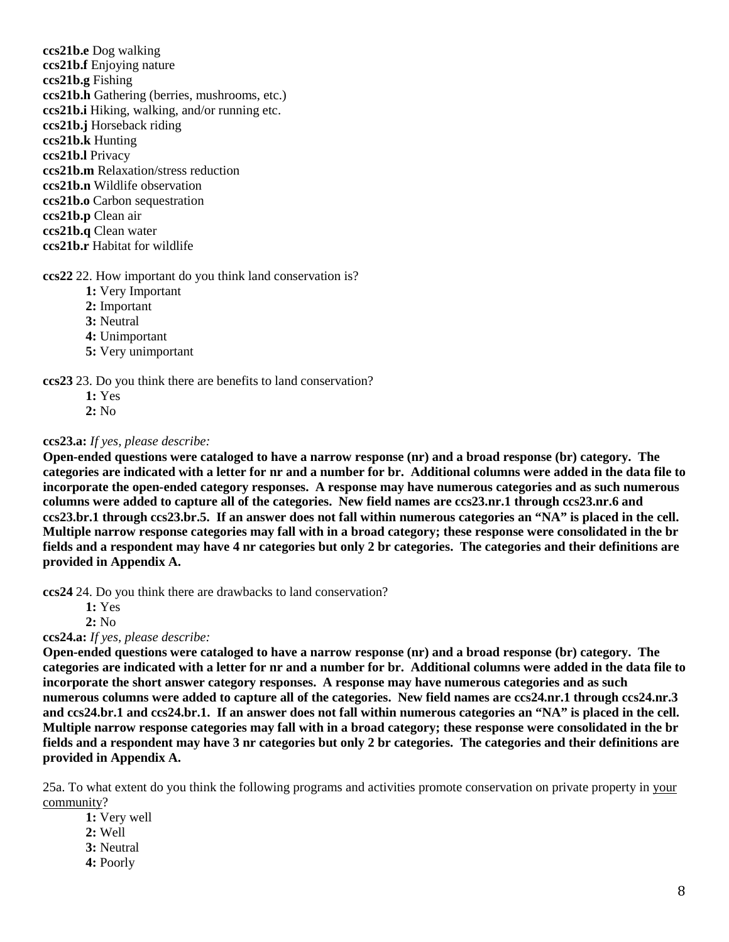**ccs21b.e** Dog walking **ccs21b.f** Enjoying nature **ccs21b.g** Fishing **ccs21b.h** Gathering (berries, mushrooms, etc.) **ccs21b.i** Hiking, walking, and/or running etc. **ccs21b.j** Horseback riding **ccs21b.k** Hunting **ccs21b.l** Privacy **ccs21b.m** Relaxation/stress reduction **ccs21b.n** Wildlife observation **ccs21b.o** Carbon sequestration **ccs21b.p** Clean air **ccs21b.q** Clean water **ccs21b.r** Habitat for wildlife

## **ccs22** 22. How important do you think land conservation is?

- **1:** Very Important
- **2:** Important
- **3:** Neutral
- **4:** Unimportant
- **5:** Very unimportant

#### **ccs23** 23. Do you think there are benefits to land conservation?

- **1:** Yes
- **2:** No

## **ccs23.a:** *If yes, please describe:*

**Open-ended questions were cataloged to have a narrow response (nr) and a broad response (br) category. The categories are indicated with a letter for nr and a number for br. Additional columns were added in the data file to incorporate the open-ended category responses. A response may have numerous categories and as such numerous columns were added to capture all of the categories. New field names are ccs23.nr.1 through ccs23.nr.6 and ccs23.br.1 through ccs23.br.5. If an answer does not fall within numerous categories an "NA" is placed in the cell. Multiple narrow response categories may fall with in a broad category; these response were consolidated in the br fields and a respondent may have 4 nr categories but only 2 br categories. The categories and their definitions are provided in Appendix A.**

**ccs24** 24. Do you think there are drawbacks to land conservation?

**1:** Yes

**2:** No

**ccs24.a:** *If yes, please describe:* 

**Open-ended questions were cataloged to have a narrow response (nr) and a broad response (br) category. The categories are indicated with a letter for nr and a number for br. Additional columns were added in the data file to incorporate the short answer category responses. A response may have numerous categories and as such numerous columns were added to capture all of the categories. New field names are ccs24.nr.1 through ccs24.nr.3 and ccs24.br.1 and ccs24.br.1. If an answer does not fall within numerous categories an "NA" is placed in the cell. Multiple narrow response categories may fall with in a broad category; these response were consolidated in the br fields and a respondent may have 3 nr categories but only 2 br categories. The categories and their definitions are provided in Appendix A.**

25a. To what extent do you think the following programs and activities promote conservation on private property in your community?

**1:** Very well

- **2:** Well
- **3:** Neutral
- **4:** Poorly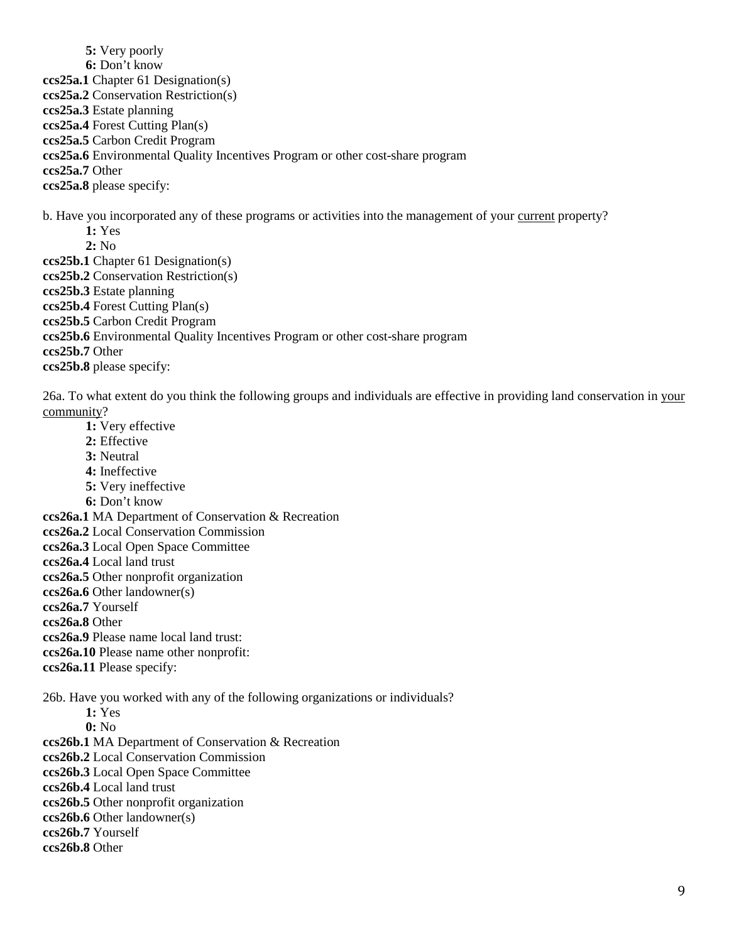**5:** Very poorly **6:** Don't know **ccs25a.1** Chapter 61 Designation(s) **ccs25a.2** Conservation Restriction(s) **ccs25a.3** Estate planning **ccs25a.4** Forest Cutting Plan(s) **ccs25a.5** Carbon Credit Program **ccs25a.6** Environmental Quality Incentives Program or other cost-share program **ccs25a.7** Other **ccs25a.8** please specify: b. Have you incorporated any of these programs or activities into the management of your current property? **1:** Yes **2:** No **ccs25b.1** Chapter 61 Designation(s) **ccs25b.2** Conservation Restriction(s) **ccs25b.3** Estate planning **ccs25b.4** Forest Cutting Plan(s) **ccs25b.5** Carbon Credit Program **ccs25b.6** Environmental Quality Incentives Program or other cost-share program

**ccs25b.7** Other **ccs25b.8** please specify:

26a. To what extent do you think the following groups and individuals are effective in providing land conservation in your community?

**1:** Very effective **2:** Effective **3:** Neutral **4:** Ineffective **5:** Very ineffective **6:** Don't know **ccs26a.1** MA Department of Conservation & Recreation **ccs26a.2** Local Conservation Commission **ccs26a.3** Local Open Space Committee **ccs26a.4** Local land trust **ccs26a.5** Other nonprofit organization **ccs26a.6** Other landowner(s) **ccs26a.7** Yourself **ccs26a.8** Other **ccs26a.9** Please name local land trust: **ccs26a.10** Please name other nonprofit: **ccs26a.11** Please specify:

26b. Have you worked with any of the following organizations or individuals?

**1:** Yes

**0:** No

**ccs26b.1** MA Department of Conservation & Recreation

**ccs26b.2** Local Conservation Commission

**ccs26b.3** Local Open Space Committee

**ccs26b.4** Local land trust

**ccs26b.5** Other nonprofit organization

**ccs26b.6** Other landowner(s)

**ccs26b.7** Yourself

**ccs26b.8** Other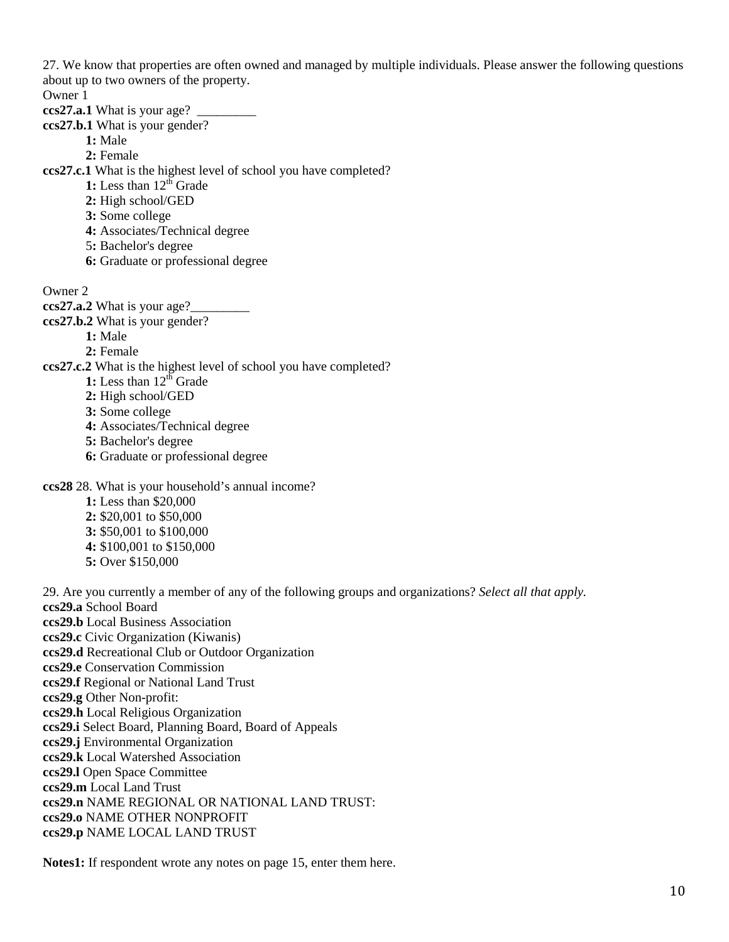27. We know that properties are often owned and managed by multiple individuals. Please answer the following questions about up to two owners of the property.

Owner 1

- **ccs27.a.1** What is your age? \_
- **ccs27.b.1** What is your gender?
	- **1:** Male
	- **2:** Female
- **ccs27.c.1** What is the highest level of school you have completed?
	- 1: Less than 12<sup>th</sup> Grade
	- **2:** High school/GED
	- **3:** Some college
	- **4:** Associates/Technical degree
	- 5**:** Bachelor's degree
	- **6:** Graduate or professional degree

Owner 2

- **ccs27.a.2** What is your age?
- **ccs27.b.2** What is your gender?
	- **1:** Male

**2:** Female

- **ccs27.c.2** What is the highest level of school you have completed?
	- **1:** Less than  $12^{t}$  Grade
	- **2:** High school/GED
	- **3:** Some college
	- **4:** Associates/Technical degree
	- **5:** Bachelor's degree
	- **6:** Graduate or professional degree

**ccs28** 28. What is your household's annual income?

- **1:** Less than \$20,000 **2:** \$20,001 to \$50,000 **3:** \$50,001 to \$100,000
- **4:** \$100,001 to \$150,000
- **5:** Over \$150,000

29. Are you currently a member of any of the following groups and organizations? *Select all that apply.* **ccs29.a** School Board **ccs29.b** Local Business Association **ccs29.c** Civic Organization (Kiwanis) **ccs29.d** Recreational Club or Outdoor Organization **ccs29.e** Conservation Commission **ccs29.f** Regional or National Land Trust **ccs29.g** Other Non-profit: **ccs29.h** Local Religious Organization **ccs29.i** Select Board, Planning Board, Board of Appeals **ccs29.j** Environmental Organization **ccs29.k** Local Watershed Association **ccs29.l** Open Space Committee **ccs29.m** Local Land Trust **ccs29.n** NAME REGIONAL OR NATIONAL LAND TRUST: **ccs29.o** NAME OTHER NONPROFIT

**ccs29.p** NAME LOCAL LAND TRUST

**Notes1:** If respondent wrote any notes on page 15, enter them here.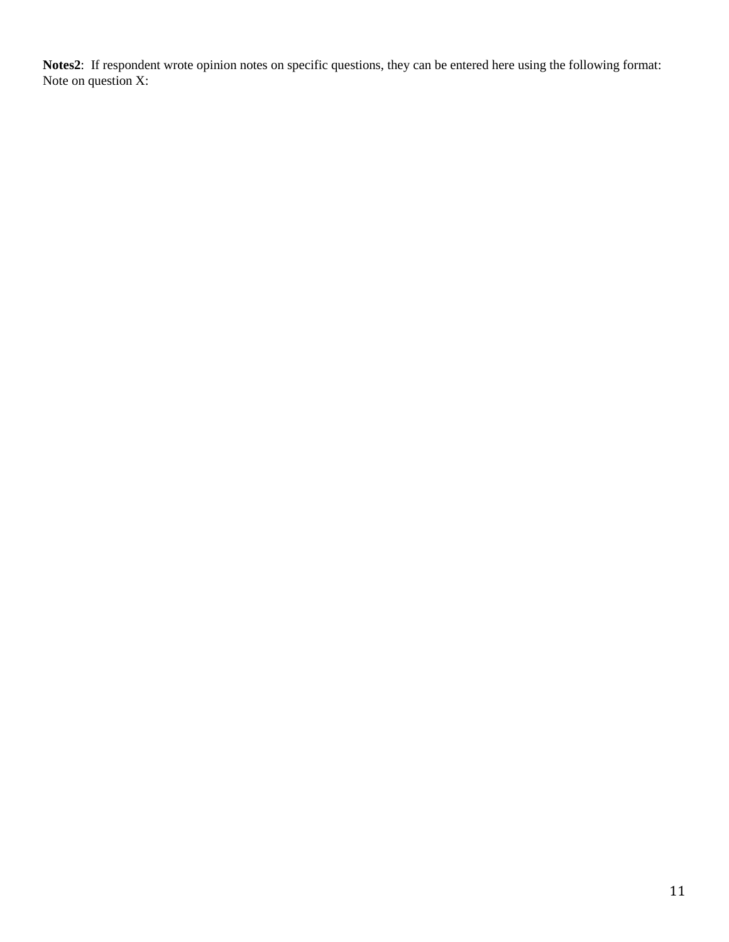**Notes2**: If respondent wrote opinion notes on specific questions, they can be entered here using the following format: Note on question X: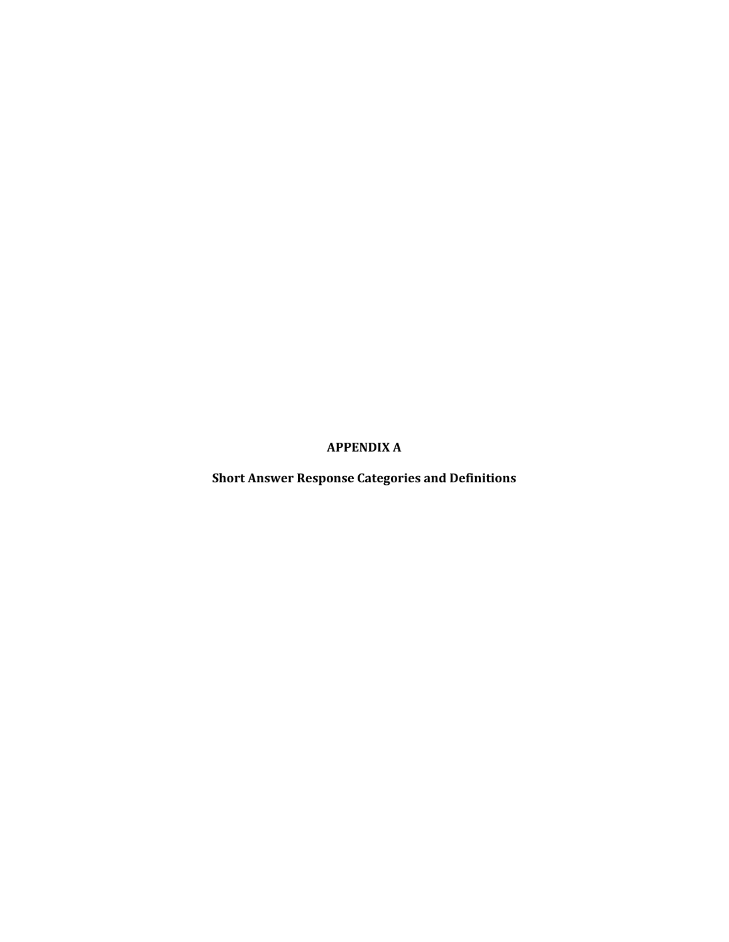**APPENDIX A**

**Short Answer Response Categories and Definitions**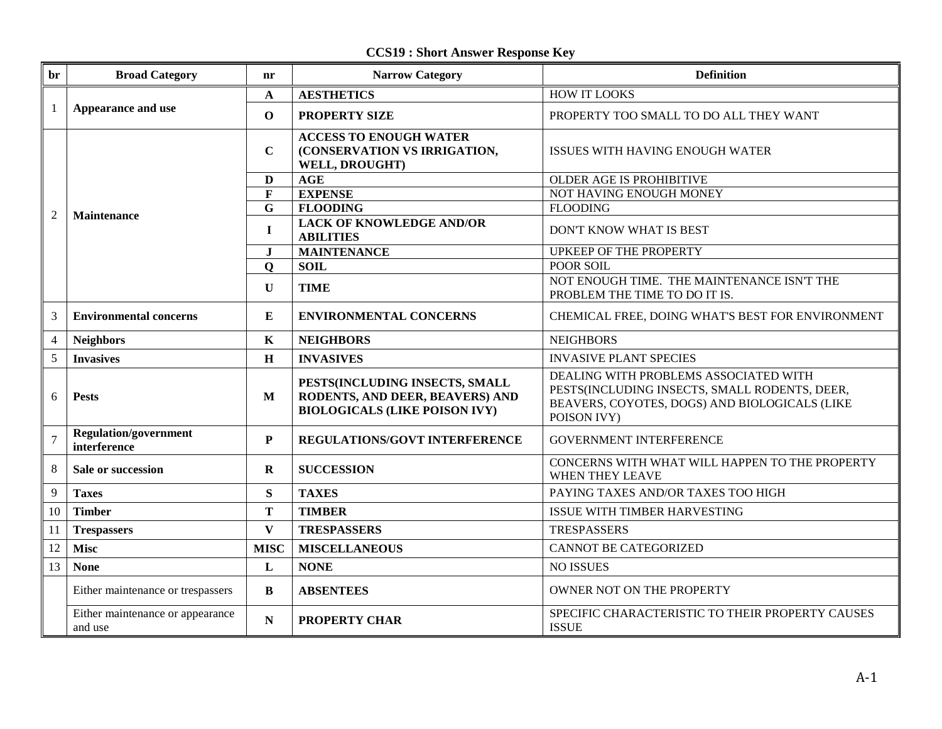**CCS19 : Short Answer Response Key**

| br             | <b>Broad Category</b>                               | nr           | <b>Narrow Category</b>                                                                                    | <b>Definition</b>                                                                                                                                      |
|----------------|-----------------------------------------------------|--------------|-----------------------------------------------------------------------------------------------------------|--------------------------------------------------------------------------------------------------------------------------------------------------------|
|                |                                                     | A            | <b>AESTHETICS</b>                                                                                         | <b>HOW IT LOOKS</b>                                                                                                                                    |
| -1             | Appearance and use                                  | $\mathbf 0$  | <b>PROPERTY SIZE</b>                                                                                      | PROPERTY TOO SMALL TO DO ALL THEY WANT                                                                                                                 |
|                | <b>Maintenance</b>                                  | $\mathbf C$  | <b>ACCESS TO ENOUGH WATER</b><br>(CONSERVATION VS IRRIGATION,<br>WELL, DROUGHT)                           | <b>ISSUES WITH HAVING ENOUGH WATER</b>                                                                                                                 |
|                |                                                     | $\mathbf{D}$ | AGE                                                                                                       | OLDER AGE IS PROHIBITIVE                                                                                                                               |
|                |                                                     | $\mathbf{F}$ | <b>EXPENSE</b>                                                                                            | NOT HAVING ENOUGH MONEY                                                                                                                                |
| 2              |                                                     | $\mathbf G$  | <b>FLOODING</b>                                                                                           | <b>FLOODING</b>                                                                                                                                        |
|                |                                                     | $\mathbf I$  | <b>LACK OF KNOWLEDGE AND/OR</b><br><b>ABILITIES</b>                                                       | DON'T KNOW WHAT IS BEST                                                                                                                                |
|                |                                                     | $\bf J$      | <b>MAINTENANCE</b>                                                                                        | <b>UPKEEP OF THE PROPERTY</b>                                                                                                                          |
|                |                                                     | $\mathbf Q$  | <b>SOIL</b>                                                                                               | <b>POOR SOIL</b>                                                                                                                                       |
|                |                                                     | $\mathbf U$  | <b>TIME</b>                                                                                               | NOT ENOUGH TIME. THE MAINTENANCE ISN'T THE<br>PROBLEM THE TIME TO DO IT IS.                                                                            |
| 3              | <b>Environmental concerns</b>                       | E            | CHEMICAL FREE, DOING WHAT'S BEST FOR ENVIRONMENT<br><b>ENVIRONMENTAL CONCERNS</b>                         |                                                                                                                                                        |
| $\overline{4}$ | <b>Neighbors</b>                                    | $\mathbf K$  | <b>NEIGHBORS</b>                                                                                          | <b>NEIGHBORS</b>                                                                                                                                       |
| 5              | <b>Invasives</b>                                    | $\mathbf H$  | <b>INVASIVES</b>                                                                                          | <b>INVASIVE PLANT SPECIES</b>                                                                                                                          |
| 6              | <b>Pests</b>                                        | M            | PESTS(INCLUDING INSECTS, SMALL<br>RODENTS, AND DEER, BEAVERS) AND<br><b>BIOLOGICALS (LIKE POISON IVY)</b> | DEALING WITH PROBLEMS ASSOCIATED WITH<br>PESTS(INCLUDING INSECTS, SMALL RODENTS, DEER,<br>BEAVERS, COYOTES, DOGS) AND BIOLOGICALS (LIKE<br>POISON IVY) |
| $\overline{7}$ | <b>Regulation/government</b><br>interference        | P            | REGULATIONS/GOVT INTERFERENCE                                                                             | <b>GOVERNMENT INTERFERENCE</b>                                                                                                                         |
| 8              | <b>SUCCESSION</b><br>Sale or succession<br>$\bf{R}$ |              | CONCERNS WITH WHAT WILL HAPPEN TO THE PROPERTY<br><b>WHEN THEY LEAVE</b>                                  |                                                                                                                                                        |
| 9              | <b>Taxes</b>                                        | S            | <b>TAXES</b>                                                                                              | PAYING TAXES AND/OR TAXES TOO HIGH                                                                                                                     |
| 10             | <b>Timber</b>                                       | T            | <b>TIMBER</b>                                                                                             | ISSUE WITH TIMBER HARVESTING                                                                                                                           |
| 11             | <b>Trespassers</b>                                  | $\mathbf{V}$ | <b>TRESPASSERS</b>                                                                                        | <b>TRESPASSERS</b>                                                                                                                                     |
| 12             | <b>Misc</b>                                         | <b>MISC</b>  | <b>MISCELLANEOUS</b>                                                                                      | <b>CANNOT BE CATEGORIZED</b>                                                                                                                           |
| 13             | <b>None</b>                                         | $\mathbf{L}$ | <b>NONE</b>                                                                                               | <b>NO ISSUES</b>                                                                                                                                       |
|                | Either maintenance or trespassers                   | $\bf{B}$     | <b>ABSENTEES</b>                                                                                          | OWNER NOT ON THE PROPERTY                                                                                                                              |
|                | Either maintenance or appearance<br>and use         | $\mathbf N$  | <b>PROPERTY CHAR</b>                                                                                      | SPECIFIC CHARACTERISTIC TO THEIR PROPERTY CAUSES<br><b>ISSUE</b>                                                                                       |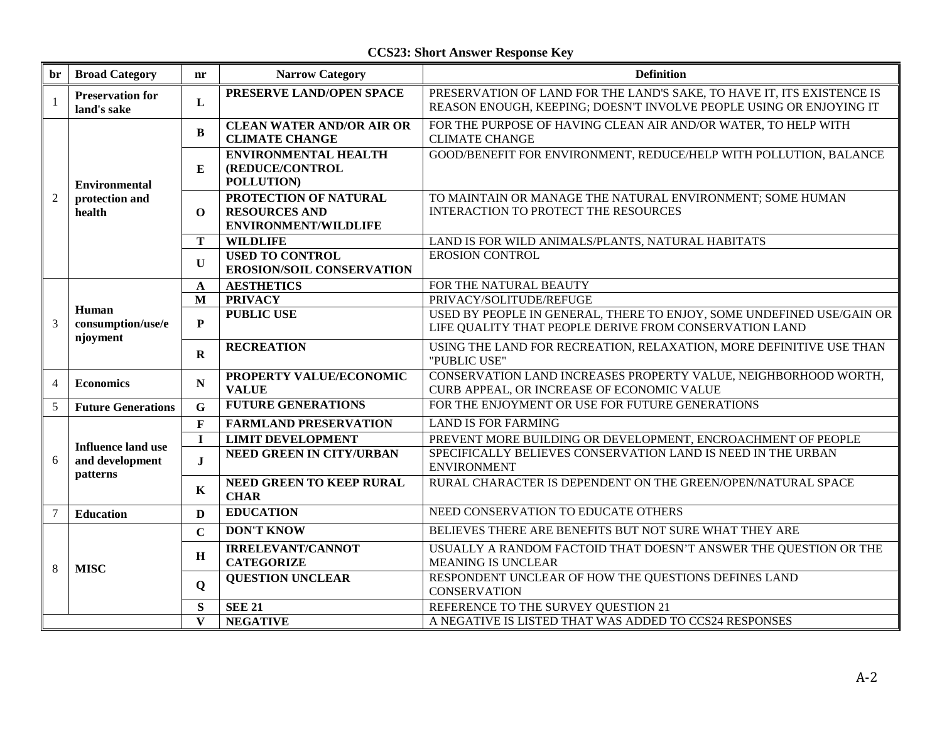**CCS23: Short Answer Response Key**

| br             | <b>Broad Category</b>                                    | nr           | <b>Narrow Category</b>                                                       | <b>Definition</b>                                                                                                                             |
|----------------|----------------------------------------------------------|--------------|------------------------------------------------------------------------------|-----------------------------------------------------------------------------------------------------------------------------------------------|
| $\mathbf{1}$   | <b>Preservation for</b><br>land's sake                   | L            | PRESERVE LAND/OPEN SPACE                                                     | PRESERVATION OF LAND FOR THE LAND'S SAKE, TO HAVE IT, ITS EXISTENCE IS<br>REASON ENOUGH, KEEPING; DOESN'T INVOLVE PEOPLE USING OR ENJOYING IT |
| $\overline{2}$ | <b>Environmental</b><br>protection and<br>health         | B            | <b>CLEAN WATER AND/OR AIR OR</b><br><b>CLIMATE CHANGE</b>                    | FOR THE PURPOSE OF HAVING CLEAN AIR AND/OR WATER, TO HELP WITH<br><b>CLIMATE CHANGE</b>                                                       |
|                |                                                          | E            | <b>ENVIRONMENTAL HEALTH</b><br>(REDUCE/CONTROL<br>POLLUTION)                 | GOOD/BENEFIT FOR ENVIRONMENT, REDUCE/HELP WITH POLLUTION, BALANCE                                                                             |
|                |                                                          | $\mathbf 0$  | PROTECTION OF NATURAL<br><b>RESOURCES AND</b><br><b>ENVIRONMENT/WILDLIFE</b> | TO MAINTAIN OR MANAGE THE NATURAL ENVIRONMENT; SOME HUMAN<br>INTERACTION TO PROTECT THE RESOURCES                                             |
|                |                                                          | T            | <b>WILDLIFE</b>                                                              | LAND IS FOR WILD ANIMALS/PLANTS, NATURAL HABITATS                                                                                             |
|                |                                                          | $\mathbf{U}$ | <b>USED TO CONTROL</b><br><b>EROSION/SOIL CONSERVATION</b>                   | <b>EROSION CONTROL</b>                                                                                                                        |
|                | Human<br>consumption/use/e<br>njoyment                   | A            | <b>AESTHETICS</b>                                                            | FOR THE NATURAL BEAUTY                                                                                                                        |
|                |                                                          | M            | <b>PRIVACY</b>                                                               | PRIVACY/SOLITUDE/REFUGE                                                                                                                       |
| 3              |                                                          | P            | <b>PUBLIC USE</b>                                                            | USED BY PEOPLE IN GENERAL, THERE TO ENJOY, SOME UNDEFINED USE/GAIN OR<br>LIFE QUALITY THAT PEOPLE DERIVE FROM CONSERVATION LAND               |
|                |                                                          | $\mathbf{R}$ | <b>RECREATION</b>                                                            | USING THE LAND FOR RECREATION, RELAXATION, MORE DEFINITIVE USE THAN<br>"PUBLIC USE"                                                           |
| $\overline{4}$ | <b>Economics</b>                                         | N            | PROPERTY VALUE/ECONOMIC<br><b>VALUE</b>                                      | CONSERVATION LAND INCREASES PROPERTY VALUE, NEIGHBORHOOD WORTH,<br>CURB APPEAL, OR INCREASE OF ECONOMIC VALUE                                 |
| 5              | <b>Future Generations</b>                                | $\mathbf G$  | <b>FUTURE GENERATIONS</b>                                                    | FOR THE ENJOYMENT OR USE FOR FUTURE GENERATIONS                                                                                               |
|                | <b>Influence land use</b><br>and development<br>patterns | $\mathbf{F}$ | <b>FARMLAND PRESERVATION</b>                                                 | <b>LAND IS FOR FARMING</b>                                                                                                                    |
|                |                                                          | $\mathbf I$  | <b>LIMIT DEVELOPMENT</b>                                                     | PREVENT MORE BUILDING OR DEVELOPMENT, ENCROACHMENT OF PEOPLE                                                                                  |
| 6              |                                                          | $\mathbf I$  | <b>NEED GREEN IN CITY/URBAN</b>                                              | SPECIFICALLY BELIEVES CONSERVATION LAND IS NEED IN THE URBAN<br><b>ENVIRONMENT</b>                                                            |
|                |                                                          | $\mathbf K$  | NEED GREEN TO KEEP RURAL<br><b>CHAR</b>                                      | RURAL CHARACTER IS DEPENDENT ON THE GREEN/OPEN/NATURAL SPACE                                                                                  |
| $\overline{7}$ | <b>Education</b>                                         | D            | <b>EDUCATION</b>                                                             | NEED CONSERVATION TO EDUCATE OTHERS                                                                                                           |
|                | <b>MISC</b>                                              | $\mathbf C$  | <b>DON'T KNOW</b>                                                            | BELIEVES THERE ARE BENEFITS BUT NOT SURE WHAT THEY ARE                                                                                        |
| 8              |                                                          | $\mathbf H$  | <b>IRRELEVANT/CANNOT</b><br><b>CATEGORIZE</b>                                | USUALLY A RANDOM FACTOID THAT DOESN'T ANSWER THE QUESTION OR THE<br><b>MEANING IS UNCLEAR</b>                                                 |
|                |                                                          | $\mathbf Q$  | <b>QUESTION UNCLEAR</b>                                                      | RESPONDENT UNCLEAR OF HOW THE QUESTIONS DEFINES LAND<br><b>CONSERVATION</b>                                                                   |
|                |                                                          | S            | <b>SEE 21</b>                                                                | REFERENCE TO THE SURVEY QUESTION 21                                                                                                           |
|                |                                                          | $\mathbf{V}$ | <b>NEGATIVE</b>                                                              | A NEGATIVE IS LISTED THAT WAS ADDED TO CCS24 RESPONSES                                                                                        |